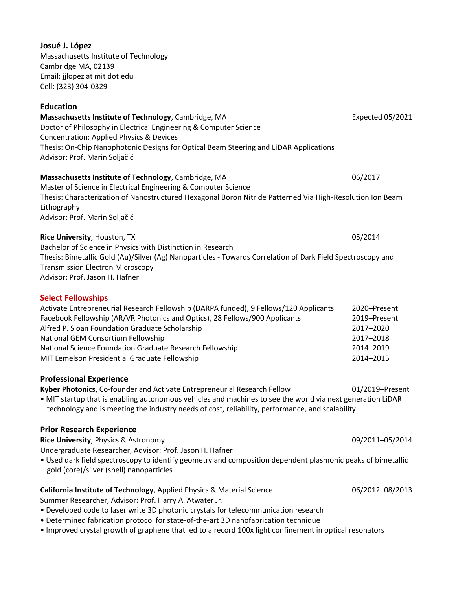**Massachusetts Institute of Technology**, Cambridge, MA **Expected 05/2021** Expected 05/2021 Doctor of Philosophy in Electrical Engineering & Computer Science Concentration: Applied Physics & Devices Thesis: On-Chip Nanophotonic Designs for Optical Beam Steering and LiDAR Applications Advisor: Prof. Marin Soljačić **Massachusetts Institute of Technology**, Cambridge, MA 06/2017 Master of Science in Electrical Engineering & Computer Science Thesis: Characterization of Nanostructured Hexagonal Boron Nitride Patterned Via High-Resolution Ion Beam Lithography Advisor: Prof. Marin Soljačić **Rice University**, Houston, TX 05/2014 Bachelor of Science in Physics with Distinction in Research Thesis: Bimetallic Gold (Au)/Silver (Ag) Nanoparticles - Towards Correlation of Dark Field Spectroscopy and Transmission Electron Microscopy Advisor: Prof. Jason H. Hafner **Select Fellowships**  Activate Entrepreneurial Research Fellowship (DARPA funded), 9 Fellows/120 Applicants 2020–Present Facebook Fellowship (AR/VR Photonics and Optics), 28 Fellows/900 Applicants 2019–Present Alfred P. Sloan Foundation Graduate Scholarship 2017–2020 National GEM Consortium Fellowship 2017–2018 National Science Foundation Graduate Research Fellowship 2014–2019 MIT Lemelson Presidential Graduate Fellowship 2014–2015 **Professional Experience Kyber Photonics**, Co-founder and Activate Entrepreneurial Research Fellow 01/2019–Present • MIT startup that is enabling autonomous vehicles and machines to see the world via next generation LiDAR technology and is meeting the industry needs of cost, reliability, performance, and scalability **Prior Research Experience Rice University**, Physics & Astronomy 09/2011–05/2014 Undergraduate Researcher, Advisor: Prof. Jason H. Hafner • Used dark field spectroscopy to identify geometry and composition dependent plasmonic peaks of bimetallic gold (core)/silver (shell) nanoparticles **California Institute of Technology**, Applied Physics & Material Science 06/2012–08/2013 Summer Researcher, Advisor: Prof. Harry A. Atwater Jr. • Developed code to laser write 3D photonic crystals for telecommunication research • Determined fabrication protocol for state-of-the-art 3D nanofabrication technique

• Improved crystal growth of graphene that led to a record 100x light confinement in optical resonators

**Josué J. López**

Massachusetts Institute of Technology Cambridge MA, 02139 Email: jjlopez at mit dot edu Cell: (323) 304-0329

# **Education**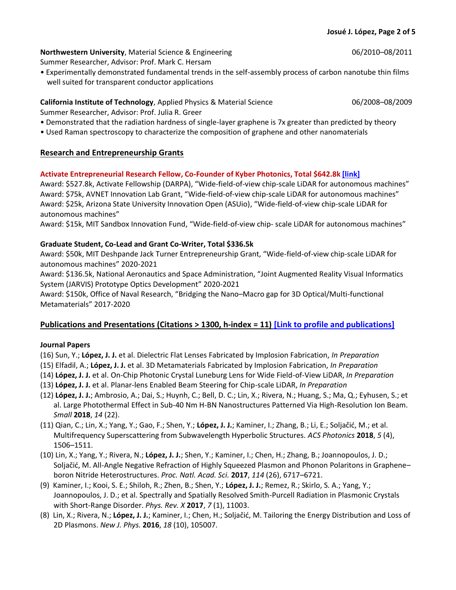#### **Northwestern University**, Material Science & Engineering **1996** 1997 1998/2010–08/2011

Summer Researcher, Advisor: Prof. Mark C. Hersam

• Experimentally demonstrated fundamental trends in the self-assembly process of carbon nanotube thin films well suited for transparent conductor applications

## **California Institute of Technology**, Applied Physics & Material Science 06/2008–08/2009

Summer Researcher, Advisor: Prof. Julia R. Greer

- Demonstrated that the radiation hardness of single-layer graphene is 7x greater than predicted by theory
- Used Raman spectroscopy to characterize the composition of graphene and other nanomaterials

## **Research and Entrepreneurship Grants**

## **Activate Entrepreneurial Research Fellow, Co-Founder of Kyber Photonics, Total \$642.8k [\[link\]](https://www.activate.org/kyber-photonics)**

Award: \$527.8k, Activate Fellowship (DARPA), "Wide-field-of-view chip-scale LiDAR for autonomous machines" Award: \$75k, AVNET Innovation Lab Grant, "Wide-field-of-view chip-scale LiDAR for autonomous machines" Award: \$25k, Arizona State University Innovation Open (ASUio), "Wide-field-of-view chip-scale LiDAR for autonomous machines"

Award: \$15k, MIT Sandbox Innovation Fund, "Wide-field-of-view chip- scale LiDAR for autonomous machines"

## **Graduate Student, Co-Lead and Grant Co-Writer, Total \$336.5k**

Award: \$50k, MIT Deshpande Jack Turner Entrepreneurship Grant, "Wide-field-of-view chip-scale LiDAR for autonomous machines" 2020-2021

Award: \$136.5k, National Aeronautics and Space Administration, "Joint Augmented Reality Visual Informatics System (JARVIS) Prototype Optics Development" 2020-2021

Award: \$150k, Office of Naval Research, "Bridging the Nano–Macro gap for 3D Optical/Multi-functional Metamaterials" 2017-2020

## **Publications and Presentations (Citations > 1300, h-index = 11) [\[Link to profile and publications\]](https://scholar.google.com/citations?user=T4eZdKYAAAAJ&hl=en)**

## **Journal Papers**

(16) Sun, Y.; **López, J. J.** et al. Dielectric Flat Lenses Fabricated by Implosion Fabrication, *In Preparation*

- (15) Elfadil, A.; **López, J. J.** et al. 3D Metamaterials Fabricated by Implosion Fabrication, *In Preparation*
- (14) **López, J. J.** et al. On-Chip Photonic Crystal Luneburg Lens for Wide Field-of-View LiDAR, *In Preparation*
- (13) **López, J. J.** et al. Planar-lens Enabled Beam Steering for Chip-scale LiDAR, *In Preparation*
- (12) **López, J. J.**; Ambrosio, A.; Dai, S.; Huynh, C.; Bell, D. C.; Lin, X.; Rivera, N.; Huang, S.; Ma, Q.; Eyhusen, S.; et al. Large Photothermal Effect in Sub-40 Nm H-BN Nanostructures Patterned Via High-Resolution Ion Beam. *Small* **2018**, *14* (22).
- (11) Qian, C.; Lin, X.; Yang, Y.; Gao, F.; Shen, Y.; **López, J. J.**; Kaminer, I.; Zhang, B.; Li, E.; Soljačić, M.; et al. Multifrequency Superscattering from Subwavelength Hyperbolic Structures. *ACS Photonics* **2018**, *5* (4), 1506–1511.
- (10) Lin, X.; Yang, Y.; Rivera, N.; **López, J. J.**; Shen, Y.; Kaminer, I.; Chen, H.; Zhang, B.; Joannopoulos, J. D.; Soljačić, M. All-Angle Negative Refraction of Highly Squeezed Plasmon and Phonon Polaritons in Graphene– boron Nitride Heterostructures. *Proc. Natl. Acad. Sci.* **2017**, *114* (26), 6717–6721.
- (9) Kaminer, I.; Kooi, S. E.; Shiloh, R.; Zhen, B.; Shen, Y.; **López, J. J.**; Remez, R.; Skirlo, S. A.; Yang, Y.; Joannopoulos, J. D.; et al. Spectrally and Spatially Resolved Smith-Purcell Radiation in Plasmonic Crystals with Short-Range Disorder. *Phys. Rev. X* **2017**, *7* (1), 11003.
- (8) Lin, X.; Rivera, N.; **López, J. J.**; Kaminer, I.; Chen, H.; Soljačić, M. Tailoring the Energy Distribution and Loss of 2D Plasmons. *New J. Phys.* **2016**, *18* (10), 105007.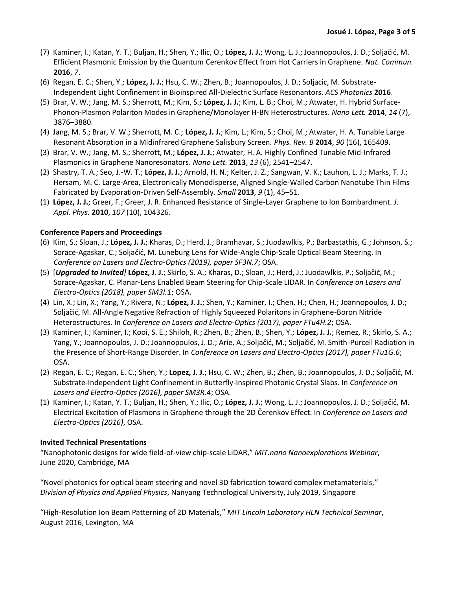- (7) Kaminer, I.; Katan, Y. T.; Buljan, H.; Shen, Y.; Ilic, O.; **López, J. J.**; Wong, L. J.; Joannopoulos, J. D.; Soljačić, M. Efficient Plasmonic Emission by the Quantum Cerenkov Effect from Hot Carriers in Graphene. *Nat. Commun.* **2016**, *7*.
- (6) Regan, E. C.; Shen, Y.; **López, J. J.**; Hsu, C. W.; Zhen, B.; Joannopoulos, J. D.; Soljacic, M. Substrate-Independent Light Confinement in Bioinspired All-Dielectric Surface Resonantors. *ACS Photonics* **2016**.
- (5) Brar, V. W.; Jang, M. S.; Sherrott, M.; Kim, S.; **López, J. J.**; Kim, L. B.; Choi, M.; Atwater, H. Hybrid Surface-Phonon-Plasmon Polariton Modes in Graphene/Monolayer H-BN Heterostructures. *Nano Lett.* **2014**, *14* (7), 3876–3880.
- (4) Jang, M. S.; Brar, V. W.; Sherrott, M. C.; **López, J. J.**; Kim, L.; Kim, S.; Choi, M.; Atwater, H. A. Tunable Large Resonant Absorption in a Midinfrared Graphene Salisbury Screen. *Phys. Rev. B* **2014**, *90* (16), 165409.
- (3) Brar, V. W.; Jang, M. S.; Sherrott, M.; **López, J. J.**; Atwater, H. A. Highly Confined Tunable Mid-Infrared Plasmonics in Graphene Nanoresonators. *Nano Lett.* **2013**, *13* (6), 2541–2547.
- (2) Shastry, T. A.; Seo, J.-W. T.; **López, J. J.**; Arnold, H. N.; Kelter, J. Z.; Sangwan, V. K.; Lauhon, L. J.; Marks, T. J.; Hersam, M. C. Large-Area, Electronically Monodisperse, Aligned Single-Walled Carbon Nanotube Thin Films Fabricated by Evaporation-Driven Self-Assembly. *Small* **2013**, *9* (1), 45–51.
- (1) **López, J. J.**; Greer, F.; Greer, J. R. Enhanced Resistance of Single-Layer Graphene to Ion Bombardment. *J. Appl. Phys.* **2010**, *107* (10), 104326.

## **Conference Papers and Proceedings**

- (6) Kim, S.; Sloan, J.; **López, J. J.**; Kharas, D.; Herd, J.; Bramhavar, S.; Juodawlkis, P.; Barbastathis, G.; Johnson, S.; Sorace-Agaskar, C.; Soljačić, M. Luneburg Lens for Wide-Angle Chip-Scale Optical Beam Steering. In *Conference on Lasers and Electro-Optics (2019), paper SF3N.7*; OSA.
- (5) [*Upgraded to Invited]* **López, J. J.**; Skirlo, S. A.; Kharas, D.; Sloan, J.; Herd, J.; Juodawlkis, P.; Soljačić, M.; Sorace-Agaskar, C. Planar-Lens Enabled Beam Steering for Chip-Scale LIDAR. In *Conference on Lasers and Electro-Optics (2018), paper SM3I.1*; OSA.
- (4) Lin, X.; Lin, X.; Yang, Y.; Rivera, N.; **López, J. J.**; Shen, Y.; Kaminer, I.; Chen, H.; Chen, H.; Joannopoulos, J. D.; Soljačić, M. All-Angle Negative Refraction of Highly Squeezed Polaritons in Graphene-Boron Nitride Heterostructures. In *Conference on Lasers and Electro-Optics (2017), paper FTu4H.2*; OSA.
- (3) Kaminer, I.; Kaminer, I.; Kooi, S. E.; Shiloh, R.; Zhen, B.; Zhen, B.; Shen, Y.; **López, J. J.**; Remez, R.; Skirlo, S. A.; Yang, Y.; Joannopoulos, J. D.; Joannopoulos, J. D.; Arie, A.; Soljačić, M.; Soljačić, M. Smith-Purcell Radiation in the Presence of Short-Range Disorder. In *Conference on Lasers and Electro-Optics (2017), paper FTu1G.6*; OSA.
- (2) Regan, E. C.; Regan, E. C.; Shen, Y.; **Lopez, J. J.**; Hsu, C. W.; Zhen, B.; Zhen, B.; Joannopoulos, J. D.; Soljačić, M. Substrate-Independent Light Confinement in Butterfly-Inspired Photonic Crystal Slabs. In *Conference on Lasers and Electro-Optics (2016), paper SM3R.4*; OSA.
- (1) Kaminer, I.; Katan, Y. T.; Buljan, H.; Shen, Y.; Ilic, O.; **López, J. J.**; Wong, L. J.; Joannopoulos, J. D.; Soljačić, M. Electrical Excitation of Plasmons in Graphene through the 2D Čerenkov Effect. In *Conference on Lasers and Electro-Optics (2016)*, OSA.

## **Invited Technical Presentations**

"Nanophotonic designs for wide field-of-view chip-scale LiDAR," *MIT.nano Nanoexplorations Webinar*, June 2020, Cambridge, MA

"Novel photonics for optical beam steering and novel 3D fabrication toward complex metamaterials," *Division of Physics and Applied Physics*, Nanyang Technological University, July 2019, Singapore

"High-Resolution Ion Beam Patterning of 2D Materials," *MIT Lincoln Laboratory HLN Technical Seminar*, August 2016, Lexington, MA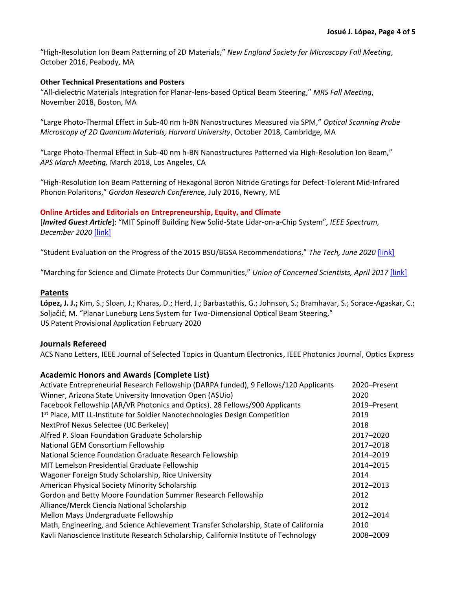"High-Resolution Ion Beam Patterning of 2D Materials," *New England Society for Microscopy Fall Meeting*, October 2016, Peabody, MA

#### **Other Technical Presentations and Posters**

"All-dielectric Materials Integration for Planar-lens-based Optical Beam Steering," *MRS Fall Meeting*, November 2018, Boston, MA

"Large Photo-Thermal Effect in Sub-40 nm h-BN Nanostructures Measured via SPM," *Optical Scanning Probe Microscopy of 2D Quantum Materials, Harvard University*, October 2018, Cambridge, MA

"Large Photo-Thermal Effect in Sub-40 nm h-BN Nanostructures Patterned via High-Resolution Ion Beam," *APS March Meeting,* March 2018, Los Angeles, CA

"High-Resolution Ion Beam Patterning of Hexagonal Boron Nitride Gratings for Defect-Tolerant Mid-Infrared Phonon Polaritons," *Gordon Research Conference,* July 2016, Newry, ME

#### **Online Articles and Editorials on Entrepreneurship, Equity, and Climate**

[*Invited Guest Article*]: "MIT Spinoff Building New Solid-State Lidar-on-a-Chip System", *IEEE Spectrum, December 2020* [\[link\]](https://spectrum.ieee.org/tech-talk/semiconductors/design/kyber-photonics-solid-state-lidar-on-a-chip-system.amp.html)

"Student Evaluation on the Progress of the 2015 BSU/BGSA Recommendations," *The Tech, June 2020* [\[link\]](https://thetech.com/2020/06/02/letter-bsa-bgsa-recommendations)

"Marching for Science and Climate Protects Our Communities," *Union of Concerned Scientists, April 2017* [\[link\]](https://blog.ucsusa.org/science-blogger/marching-for-science-and-climate-protects-our-communities)

#### **Patents**

**López, J. J.;** Kim, S.; Sloan, J.; Kharas, D.; Herd, J.; Barbastathis, G.; Johnson, S.; Bramhavar, S.; Sorace-Agaskar, C.; Soljačić, M. "Planar Luneburg Lens System for Two-Dimensional Optical Beam Steering," US Patent Provisional Application February 2020

## **Journals Refereed**

ACS Nano Letters, IEEE Journal of Selected Topics in Quantum Electronics, IEEE Photonics Journal, Optics Express

## **Academic Honors and Awards (Complete List)**

| Activate Entrepreneurial Research Fellowship (DARPA funded), 9 Fellows/120 Applicants   | 2020-Present |
|-----------------------------------------------------------------------------------------|--------------|
| Winner, Arizona State University Innovation Open (ASUio)                                | 2020         |
| Facebook Fellowship (AR/VR Photonics and Optics), 28 Fellows/900 Applicants             | 2019-Present |
| 1 <sup>st</sup> Place, MIT LL-Institute for Soldier Nanotechnologies Design Competition | 2019         |
| NextProf Nexus Selectee (UC Berkeley)                                                   | 2018         |
| Alfred P. Sloan Foundation Graduate Scholarship                                         | 2017-2020    |
| National GEM Consortium Fellowship                                                      | 2017-2018    |
| National Science Foundation Graduate Research Fellowship                                | 2014-2019    |
| MIT Lemelson Presidential Graduate Fellowship                                           | 2014-2015    |
| Wagoner Foreign Study Scholarship, Rice University                                      | 2014         |
| American Physical Society Minority Scholarship                                          | 2012-2013    |
| Gordon and Betty Moore Foundation Summer Research Fellowship                            | 2012         |
| Alliance/Merck Ciencia National Scholarship                                             | 2012         |
| Mellon Mays Undergraduate Fellowship                                                    | 2012-2014    |
| Math, Engineering, and Science Achievement Transfer Scholarship, State of California    | 2010         |
| Kavli Nanoscience Institute Research Scholarship, California Institute of Technology    | 2008-2009    |